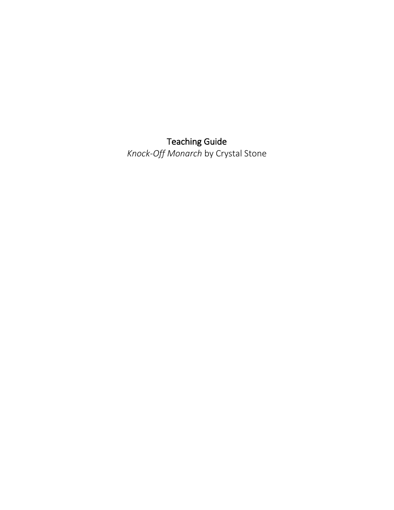Teaching Guide

*Knock-Off Monarch* by Crystal Stone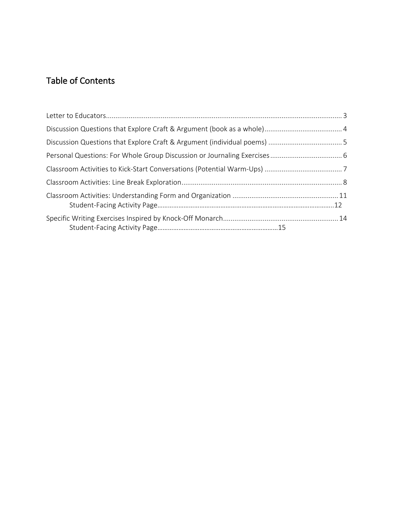# Table of Contents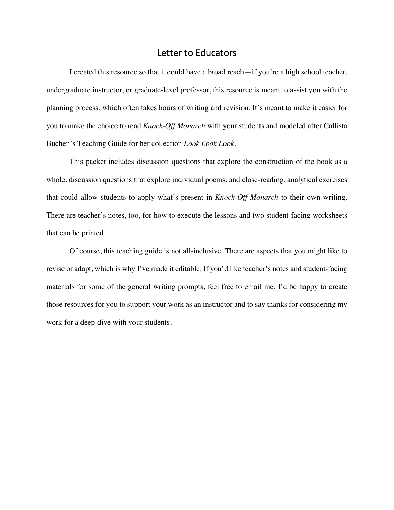### Letter to Educators

I created this resource so that it could have a broad reach—if you're a high school teacher, undergraduate instructor, or graduate-level professor, this resource is meant to assist you with the planning process, which often takes hours of writing and revision. It's meant to make it easier for you to make the choice to read *Knock-Off Monarch* with your students and modeled after Callista Buchen's Teaching Guide for her collection *Look Look Look*.

This packet includes discussion questions that explore the construction of the book as a whole, discussion questions that explore individual poems, and close-reading, analytical exercises that could allow students to apply what's present in *Knock-Off Monarch* to their own writing. There are teacher's notes, too, for how to execute the lessons and two student-facing worksheets that can be printed.

Of course, this teaching guide is not all-inclusive. There are aspects that you might like to revise or adapt, which is why I've made it editable. If you'd like teacher's notes and student-facing materials for some of the general writing prompts, feel free to email me. I'd be happy to create those resources for you to support your work as an instructor and to say thanks for considering my work for a deep-dive with your students.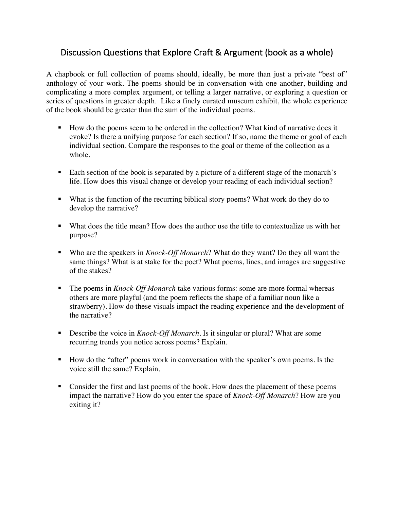# Discussion Questions that Explore Craft & Argument (book as a whole)

A chapbook or full collection of poems should, ideally, be more than just a private "best of" anthology of your work. The poems should be in conversation with one another, building and complicating a more complex argument, or telling a larger narrative, or exploring a question or series of questions in greater depth. Like a finely curated museum exhibit, the whole experience of the book should be greater than the sum of the individual poems.

- How do the poems seem to be ordered in the collection? What kind of narrative does it evoke? Is there a unifying purpose for each section? If so, name the theme or goal of each individual section. Compare the responses to the goal or theme of the collection as a whole.
- Each section of the book is separated by a picture of a different stage of the monarch's life. How does this visual change or develop your reading of each individual section?
- What is the function of the recurring biblical story poems? What work do they do to develop the narrative?
- § What does the title mean? How does the author use the title to contextualize us with her purpose?
- Who are the speakers in *Knock-Off Monarch*? What do they want? Do they all want the same things? What is at stake for the poet? What poems, lines, and images are suggestive of the stakes?
- The poems in *Knock-Off Monarch* take various forms: some are more formal whereas others are more playful (and the poem reflects the shape of a familiar noun like a strawberry). How do these visuals impact the reading experience and the development of the narrative?
- Describe the voice in *Knock-Off Monarch*. Is it singular or plural? What are some recurring trends you notice across poems? Explain.
- How do the "after" poems work in conversation with the speaker's own poems. Is the voice still the same? Explain.
- Consider the first and last poems of the book. How does the placement of these poems impact the narrative? How do you enter the space of *Knock-Off Monarch*? How are you exiting it?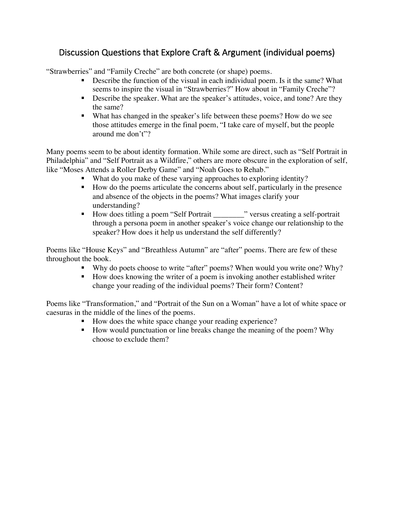# Discussion Questions that Explore Craft & Argument (individual poems)

"Strawberries" and "Family Creche" are both concrete (or shape) poems.

- Describe the function of the visual in each individual poem. Is it the same? What seems to inspire the visual in "Strawberries?" How about in "Family Creche"?
- Describe the speaker. What are the speaker's attitudes, voice, and tone? Are they the same?
- § What has changed in the speaker's life between these poems? How do we see those attitudes emerge in the final poem, "I take care of myself, but the people around me don't"?

Many poems seem to be about identity formation. While some are direct, such as "Self Portrait in Philadelphia" and "Self Portrait as a Wildfire," others are more obscure in the exploration of self, like "Moses Attends a Roller Derby Game" and "Noah Goes to Rehab."

- What do you make of these varying approaches to exploring identity?
- How do the poems articulate the concerns about self, particularly in the presence and absence of the objects in the poems? What images clarify your understanding?
- How does titling a poem "Self Portrait \_\_\_\_\_\_\_\_\_" versus creating a self-portrait through a persona poem in another speaker's voice change our relationship to the speaker? How does it help us understand the self differently?

Poems like "House Keys" and "Breathless Autumn" are "after" poems. There are few of these throughout the book.

- Why do poets choose to write "after" poems? When would you write one? Why?
- How does knowing the writer of a poem is invoking another established writer change your reading of the individual poems? Their form? Content?

Poems like "Transformation," and "Portrait of the Sun on a Woman" have a lot of white space or caesuras in the middle of the lines of the poems.

- How does the white space change your reading experience?
- How would punctuation or line breaks change the meaning of the poem? Why choose to exclude them?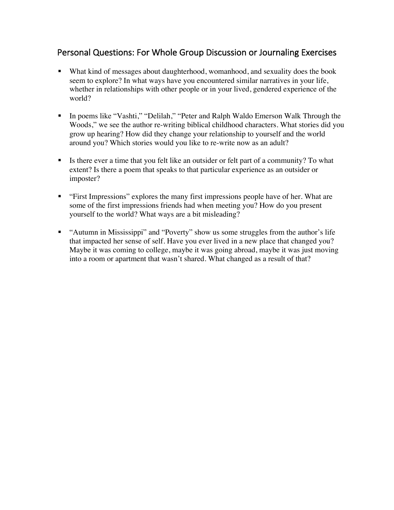### Personal Questions: For Whole Group Discussion or Journaling Exercises

- What kind of messages about daughterhood, womanhood, and sexuality does the book seem to explore? In what ways have you encountered similar narratives in your life, whether in relationships with other people or in your lived, gendered experience of the world?
- In poems like "Vashti," "Delilah," "Peter and Ralph Waldo Emerson Walk Through the Woods," we see the author re-writing biblical childhood characters. What stories did you grow up hearing? How did they change your relationship to yourself and the world around you? Which stories would you like to re-write now as an adult?
- Is there ever a time that you felt like an outsider or felt part of a community? To what extent? Is there a poem that speaks to that particular experience as an outsider or imposter?
- "First Impressions" explores the many first impressions people have of her. What are some of the first impressions friends had when meeting you? How do you present yourself to the world? What ways are a bit misleading?
- "Autumn in Mississippi" and "Poverty" show us some struggles from the author's life that impacted her sense of self. Have you ever lived in a new place that changed you? Maybe it was coming to college, maybe it was going abroad, maybe it was just moving into a room or apartment that wasn't shared. What changed as a result of that?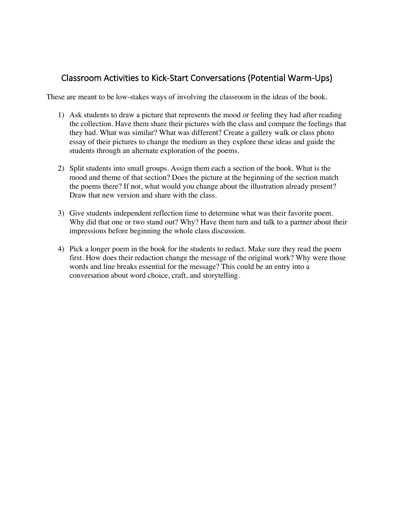### Classroom Activities to Kick-Start Conversations (Potential Warm-Ups)

These are meant to be low-stakes ways of involving the classroom in the ideas of the book.

- 1) Ask students to draw a picture that represents the mood or feeling they had after reading the collection. Have them share their pictures with the class and compare the feelings that they had. What was similar? What was different? Create a gallery walk or class photo essay of their pictures to change the medium as they explore these ideas and guide the students through an alternate exploration of the poems.
- 2) Split students into small groups. Assign them each a section of the book. What is the mood and theme of that section? Does the picture at the beginning of the section match the poems there? If not, what would you change about the illustration already present? Draw that new version and share with the class.
- 3) Give students independent reflection time to determine what was their favorite poem. Why did that one or two stand out? Why? Have them turn and talk to a partner about their impressions before beginning the whole class discussion.
- 4) Pick a longer poem in the book for the students to redact. Make sure they read the poem first. How does their redaction change the message of the original work? Why were those words and line breaks essential for the message? This could be an entry into a conversation about word choice, craft, and storytelling.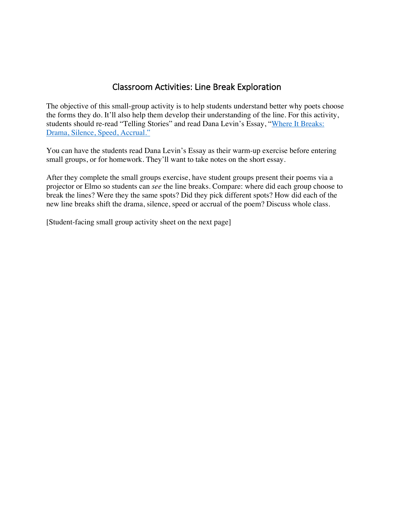### Classroom Activities: Line Break Exploration

The objective of this small-group activity is to help students understand better why poets choose the forms they do. It'll also help them develop their understanding of the line. For this activity, students should re-read "Telling Stories" and read Dana Levin's Essay, "Where It Breaks: Drama, Silence, Speed, Accrual."

You can have the students read Dana Levin's Essay as their warm-up exercise before entering small groups, or for homework. They'll want to take notes on the short essay.

After they complete the small groups exercise, have student groups present their poems via a projector or Elmo so students can *see* the line breaks. Compare: where did each group choose to break the lines? Were they the same spots? Did they pick different spots? How did each of the new line breaks shift the drama, silence, speed or accrual of the poem? Discuss whole class.

[Student-facing small group activity sheet on the next page]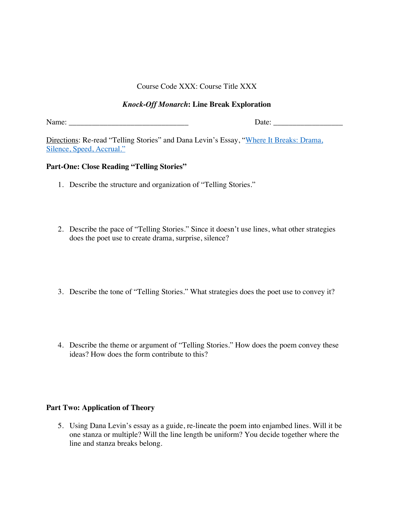Course Code XXX: Course Title XXX

### *Knock-Off Monarch***: Line Break Exploration**

Name: \_\_\_\_\_\_\_\_\_\_\_\_\_\_\_\_\_\_\_\_\_\_\_\_\_\_\_\_\_\_\_ Date: \_\_\_\_\_\_\_\_\_\_\_\_\_\_\_\_\_\_

Directions: Re-read "Telling Stories" and Dana Levin's Essay, "Where It Breaks: Drama, Silence, Speed, Accrual."

#### **Part-One: Close Reading "Telling Stories"**

- 1. Describe the structure and organization of "Telling Stories."
- 2. Describe the pace of "Telling Stories." Since it doesn't use lines, what other strategies does the poet use to create drama, surprise, silence?
- 3. Describe the tone of "Telling Stories." What strategies does the poet use to convey it?
- 4. Describe the theme or argument of "Telling Stories." How does the poem convey these ideas? How does the form contribute to this?

#### **Part Two: Application of Theory**

5. Using Dana Levin's essay as a guide, re-lineate the poem into enjambed lines. Will it be one stanza or multiple? Will the line length be uniform? You decide together where the line and stanza breaks belong.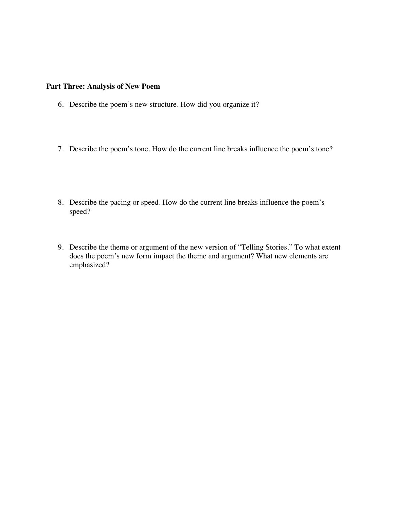### **Part Three: Analysis of New Poem**

- 6. Describe the poem's new structure. How did you organize it?
- 7. Describe the poem's tone. How do the current line breaks influence the poem's tone?
- 8. Describe the pacing or speed. How do the current line breaks influence the poem's speed?
- 9. Describe the theme or argument of the new version of "Telling Stories." To what extent does the poem's new form impact the theme and argument? What new elements are emphasized?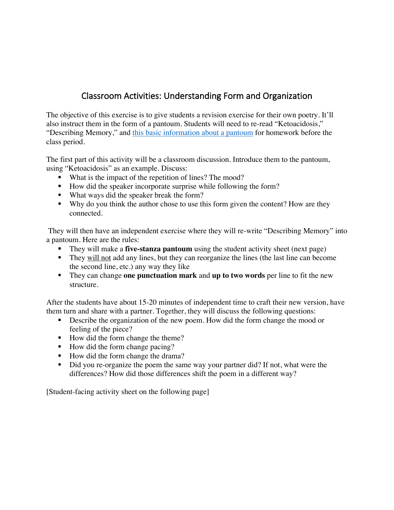# Classroom Activities: Understanding Form and Organization

The objective of this exercise is to give students a revision exercise for their own poetry. It'll also instruct them in the form of a pantoum. Students will need to re-read "Ketoacidosis," "Describing Memory," and this basic information about a pantoum for homework before the class period.

The first part of this activity will be a classroom discussion. Introduce them to the pantoum, using "Ketoacidosis" as an example. Discuss:

- What is the impact of the repetition of lines? The mood?
- How did the speaker incorporate surprise while following the form?
- What ways did the speaker break the form?
- Why do you think the author chose to use this form given the content? How are they connected.

They will then have an independent exercise where they will re-write "Describing Memory" into a pantoum. Here are the rules:

- § They will make a **five-stanza pantoum** using the student activity sheet (next page)
- § They will not add any lines, but they can reorganize the lines (the last line can become the second line, etc.) any way they like
- They can change **one punctuation mark** and **up to two words** per line to fit the new structure.

After the students have about 15-20 minutes of independent time to craft their new version, have them turn and share with a partner. Together, they will discuss the following questions:

- Describe the organization of the new poem. How did the form change the mood or feeling of the piece?
- How did the form change the theme?
- How did the form change pacing?
- How did the form change the drama?
- Did you re-organize the poem the same way your partner did? If not, what were the differences? How did those differences shift the poem in a different way?

[Student-facing activity sheet on the following page]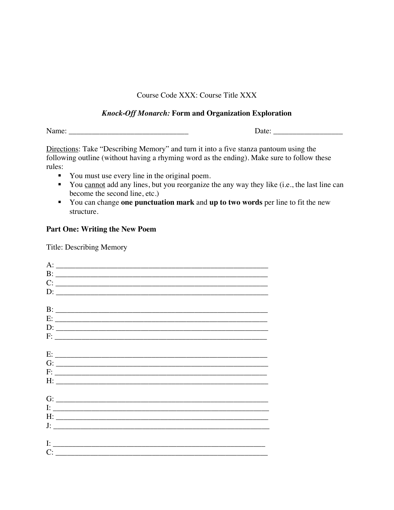### Course Code XXX: Course Title XXX

#### *Knock-Off Monarch:* **Form and Organization Exploration**

Name: \_\_\_\_\_\_\_\_\_\_\_\_\_\_\_\_\_\_\_\_\_\_\_\_\_\_\_\_\_\_\_ Date: \_\_\_\_\_\_\_\_\_\_\_\_\_\_\_\_\_\_

Directions: Take "Describing Memory" and turn it into a five stanza pantoum using the following outline (without having a rhyming word as the ending). Make sure to follow these rules:

- You must use every line in the original poem.
- You cannot add any lines, but you reorganize the any way they like (i.e., the last line can become the second line, etc.)
- § You can change **one punctuation mark** and **up to two words** per line to fit the new structure.

#### **Part One: Writing the New Poem**

Title: Describing Memory

| $C:$ $\overline{\phantom{a}}$                                                                                                                                                                                                                                                                                                                                                                                                                                          |
|------------------------------------------------------------------------------------------------------------------------------------------------------------------------------------------------------------------------------------------------------------------------------------------------------------------------------------------------------------------------------------------------------------------------------------------------------------------------|
| $D: \underline{\hspace{2.5cm}}$                                                                                                                                                                                                                                                                                                                                                                                                                                        |
|                                                                                                                                                                                                                                                                                                                                                                                                                                                                        |
|                                                                                                                                                                                                                                                                                                                                                                                                                                                                        |
| $E:$ $\overline{\phantom{a}}$                                                                                                                                                                                                                                                                                                                                                                                                                                          |
|                                                                                                                                                                                                                                                                                                                                                                                                                                                                        |
|                                                                                                                                                                                                                                                                                                                                                                                                                                                                        |
|                                                                                                                                                                                                                                                                                                                                                                                                                                                                        |
| $E:$ $\overline{\phantom{a}}$ $\overline{\phantom{a}}$ $\overline{\phantom{a}}$ $\overline{\phantom{a}}$ $\overline{\phantom{a}}$ $\overline{\phantom{a}}$ $\overline{\phantom{a}}$ $\overline{\phantom{a}}$ $\overline{\phantom{a}}$ $\overline{\phantom{a}}$ $\overline{\phantom{a}}$ $\overline{\phantom{a}}$ $\overline{\phantom{a}}$ $\overline{\phantom{a}}$ $\overline{\phantom{a}}$ $\overline{\phantom{a}}$ $\overline{\phantom{a}}$ $\overline{\phantom{a}}$ |
| $G:$ $\overline{\phantom{a}}$                                                                                                                                                                                                                                                                                                                                                                                                                                          |
|                                                                                                                                                                                                                                                                                                                                                                                                                                                                        |
|                                                                                                                                                                                                                                                                                                                                                                                                                                                                        |
|                                                                                                                                                                                                                                                                                                                                                                                                                                                                        |
|                                                                                                                                                                                                                                                                                                                                                                                                                                                                        |
| $\overline{E}$ . The contract of the contract of the contract of the contract of the contract of the contract of the contract of the contract of the contract of the contract of the contract of the contract of the contract of th                                                                                                                                                                                                                                    |
|                                                                                                                                                                                                                                                                                                                                                                                                                                                                        |
|                                                                                                                                                                                                                                                                                                                                                                                                                                                                        |
|                                                                                                                                                                                                                                                                                                                                                                                                                                                                        |
| $\mathbf{I:}\underbrace{\hspace{1.5cm}}$                                                                                                                                                                                                                                                                                                                                                                                                                               |
|                                                                                                                                                                                                                                                                                                                                                                                                                                                                        |
|                                                                                                                                                                                                                                                                                                                                                                                                                                                                        |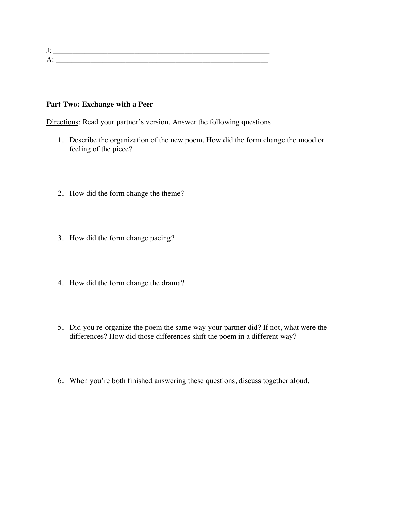$J:$   $\frac{J_{\text{max}}}{J_{\text{max}}-J_{\text{max}}-J_{\text{max}}-J_{\text{max}}-J_{\text{max}}-J_{\text{max}}-J_{\text{max}}-J_{\text{max}}-J_{\text{max}}-J_{\text{max}}-J_{\text{max}}-J_{\text{max}}-J_{\text{max}}-J_{\text{max}}-J_{\text{max}}-J_{\text{max}}-J_{\text{max}}-J_{\text{max}}-J_{\text{max}}-J_{\text{max}}-J_{\text{max}}-J_{\text{max}}-J_{\text{max}}-J_{\text{max}}-J_{\text{max}}-J_{\text$ A: \_\_\_\_\_\_\_\_\_\_\_\_\_\_\_\_\_\_\_\_\_\_\_\_\_\_\_\_\_\_\_\_\_\_\_\_\_\_\_\_\_\_\_\_\_\_\_\_\_\_\_\_\_\_\_

#### **Part Two: Exchange with a Peer**

Directions: Read your partner's version. Answer the following questions.

- 1. Describe the organization of the new poem. How did the form change the mood or feeling of the piece?
- 2. How did the form change the theme?
- 3. How did the form change pacing?
- 4. How did the form change the drama?
- 5. Did you re-organize the poem the same way your partner did? If not, what were the differences? How did those differences shift the poem in a different way?
- 6. When you're both finished answering these questions, discuss together aloud.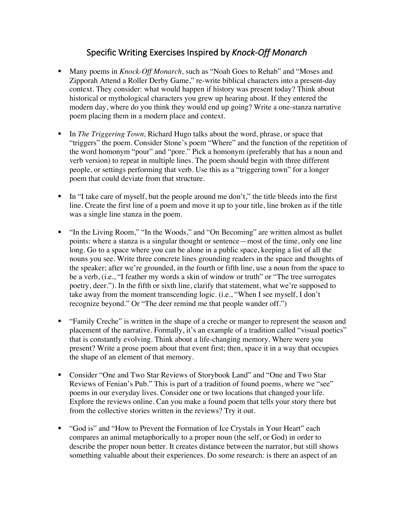# Specific Writing Exercises Inspired by *Knock-Off Monarch*

- § Many poems in *Knock-Off Monarch,* such as "Noah Goes to Rehab" and "Moses and Zipporah Attend a Roller Derby Game," re-write biblical characters into a present-day context. They consider: what would happen if history was present today? Think about historical or mythological characters you grew up hearing about. If they entered the modern day, where do you think they would end up going? Write a one-stanza narrative poem placing them in a modern place and context.
- § In *The Triggering Town,* Richard Hugo talks about the word, phrase, or space that "triggers" the poem. Consider Stone's poem "Where" and the function of the repetition of the word homonym "pour" and "pore." Pick a homonym (preferably that has a noun and verb version) to repeat in multiple lines. The poem should begin with three different people, or settings performing that verb. Use this as a "triggering town" for a longer poem that could deviate from that structure.
- $\blacksquare$  In "I take care of myself, but the people around me don't," the title bleeds into the first line. Create the first line of a poem and move it up to your title, line broken as if the title was a single line stanza in the poem.
- "In the Living Room," "In the Woods," and "On Becoming" are written almost as bullet points: where a stanza is a singular thought or sentence—most of the time, only one line long. Go to a space where you can be alone in a public space, keeping a list of all the nouns you see. Write three concrete lines grounding readers in the space and thoughts of the speaker; after we're grounded, in the fourth or fifth line, use a noun from the space to be a verb, (i.e., "I feather my words a skin of window or truth" or "The tree surrogates poetry, deer."). In the fifth or sixth line, clarify that statement, what we're supposed to take away from the moment transcending logic. (i.e., "When I see myself, I don't recognize beyond." Or "The deer remind me that people wander off.")
- § "Family Creche" is written in the shape of a creche or manger to represent the season and placement of the narrative. Formally, it's an example of a tradition called "visual poetics" that is constantly evolving. Think about a life-changing memory. Where were you present? Write a prose poem about that event first; then, space it in a way that occupies the shape of an element of that memory.
- Consider "One and Two Star Reviews of Storybook Land" and "One and Two Star Reviews of Fenian's Pub." This is part of a tradition of found poems, where we "see" poems in our everyday lives. Consider one or two locations that changed your life. Explore the reviews online. Can you make a found poem that tells your story there but from the collective stories written in the reviews? Try it out.
- "God is" and "How to Prevent the Formation of Ice Crystals in Your Heart" each compares an animal metaphorically to a proper noun (the self, or God) in order to describe the proper noun better. It creates distance between the narrator, but still shows something valuable about their experiences. Do some research: is there an aspect of an